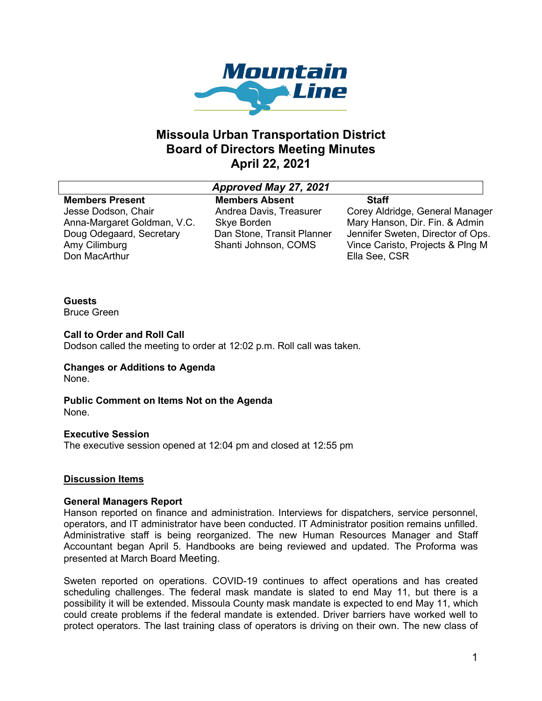

# **Missoula Urban Transportation District Board of Directors Meeting Minutes April 22, 2021**

### *Approved May 27, 2021*

#### **Members Present** Jesse Dodson, Chair Anna-Margaret Goldman, V.C. Doug Odegaard, Secretary Amy Cilimburg Don MacArthur

**Members Absent** Andrea Davis, Treasurer Skye Borden Dan Stone, Transit Planner Shanti Johnson, COMS

**Staff** Corey Aldridge, General Manager Mary Hanson, Dir. Fin. & Admin Jennifer Sweten, Director of Ops. Vince Caristo, Projects & Plng M Ella See, CSR

## **Guests**

Bruce Green

### **Call to Order and Roll Call**

Dodson called the meeting to order at 12:02 p.m. Roll call was taken.

## **Changes or Additions to Agenda**

None.

#### **Public Comment on Items Not on the Agenda** None.

### **Executive Session**

The executive session opened at 12:04 pm and closed at 12:55 pm

## **Discussion Items**

### **General Managers Report**

Hanson reported on finance and administration. Interviews for dispatchers, service personnel, operators, and IT administrator have been conducted. IT Administrator position remains unfilled. Administrative staff is being reorganized. The new Human Resources Manager and Staff Accountant began April 5. Handbooks are being reviewed and updated. The Proforma was presented at March Board Meeting.

Sweten reported on operations. COVID-19 continues to affect operations and has created scheduling challenges. The federal mask mandate is slated to end May 11, but there is a possibility it will be extended. Missoula County mask mandate is expected to end May 11, which could create problems if the federal mandate is extended. Driver barriers have worked well to protect operators. The last training class of operators is driving on their own. The new class of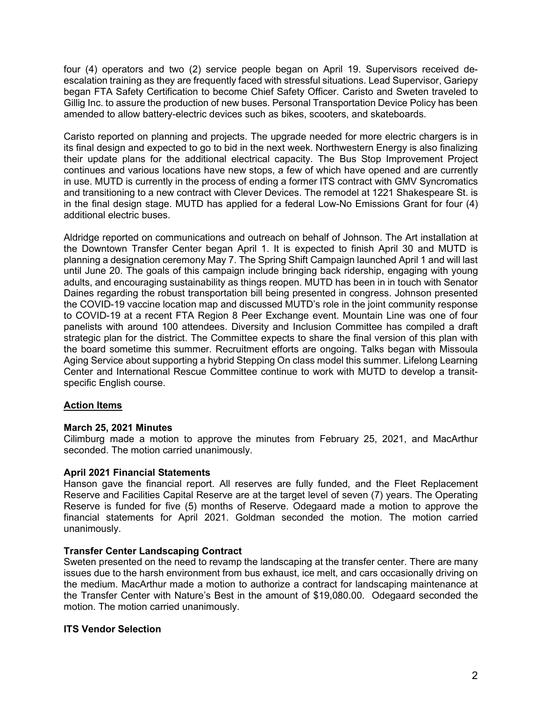four (4) operators and two (2) service people began on April 19. Supervisors received deescalation training as they are frequently faced with stressful situations. Lead Supervisor, Gariepy began FTA Safety Certification to become Chief Safety Officer. Caristo and Sweten traveled to Gillig Inc. to assure the production of new buses. Personal Transportation Device Policy has been amended to allow battery-electric devices such as bikes, scooters, and skateboards.

Caristo reported on planning and projects. The upgrade needed for more electric chargers is in its final design and expected to go to bid in the next week. Northwestern Energy is also finalizing their update plans for the additional electrical capacity. The Bus Stop Improvement Project continues and various locations have new stops, a few of which have opened and are currently in use. MUTD is currently in the process of ending a former ITS contract with GMV Syncromatics and transitioning to a new contract with Clever Devices. The remodel at 1221 Shakespeare St. is in the final design stage. MUTD has applied for a federal Low-No Emissions Grant for four (4) additional electric buses.

Aldridge reported on communications and outreach on behalf of Johnson. The Art installation at the Downtown Transfer Center began April 1. It is expected to finish April 30 and MUTD is planning a designation ceremony May 7. The Spring Shift Campaign launched April 1 and will last until June 20. The goals of this campaign include bringing back ridership, engaging with young adults, and encouraging sustainability as things reopen. MUTD has been in in touch with Senator Daines regarding the robust transportation bill being presented in congress. Johnson presented the COVID-19 vaccine location map and discussed MUTD's role in the joint community response to COVID-19 at a recent FTA Region 8 Peer Exchange event. Mountain Line was one of four panelists with around 100 attendees. Diversity and Inclusion Committee has compiled a draft strategic plan for the district. The Committee expects to share the final version of this plan with the board sometime this summer. Recruitment efforts are ongoing. Talks began with Missoula Aging Service about supporting a hybrid Stepping On class model this summer. Lifelong Learning Center and International Rescue Committee continue to work with MUTD to develop a transitspecific English course.

### **Action Items**

### **March 25, 2021 Minutes**

Cilimburg made a motion to approve the minutes from February 25, 2021, and MacArthur seconded. The motion carried unanimously.

### **April 2021 Financial Statements**

Hanson gave the financial report. All reserves are fully funded, and the Fleet Replacement Reserve and Facilities Capital Reserve are at the target level of seven (7) years. The Operating Reserve is funded for five (5) months of Reserve. Odegaard made a motion to approve the financial statements for April 2021. Goldman seconded the motion. The motion carried unanimously.

### **Transfer Center Landscaping Contract**

Sweten presented on the need to revamp the landscaping at the transfer center. There are many issues due to the harsh environment from bus exhaust, ice melt, and cars occasionally driving on the medium. MacArthur made a motion to authorize a contract for landscaping maintenance at the Transfer Center with Nature's Best in the amount of \$19,080.00. Odegaard seconded the motion. The motion carried unanimously.

### **ITS Vendor Selection**